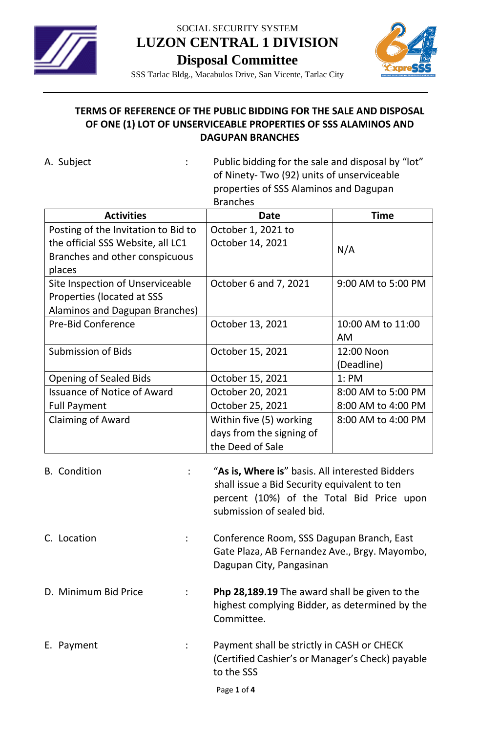

## SOCIAL SECURITY SYSTEM **LUZON CENTRAL 1 DIVISION Disposal Committee**



SSS Tarlac Bldg., Macabulos Drive, San Vicente, Tarlac City

## **TERMS OF REFERENCE OF THE PUBLIC BIDDING FOR THE SALE AND DISPOSAL OF ONE (1) LOT OF UNSERVICEABLE PROPERTIES OF SSS ALAMINOS AND DAGUPAN BRANCHES**

A. Subject  $\qquad \qquad : \qquad$  Public bidding for the sale and disposal by "lot" of Ninety- Two (92) units of unserviceable properties of SSS Alaminos and Dagupan Branches

| <b>Activities</b>                   | <b>Date</b>                                                                                                                                                               | <b>Time</b>        |  |
|-------------------------------------|---------------------------------------------------------------------------------------------------------------------------------------------------------------------------|--------------------|--|
| Posting of the Invitation to Bid to | October 1, 2021 to                                                                                                                                                        |                    |  |
| the official SSS Website, all LC1   | October 14, 2021                                                                                                                                                          | N/A                |  |
| Branches and other conspicuous      |                                                                                                                                                                           |                    |  |
| places                              |                                                                                                                                                                           |                    |  |
| Site Inspection of Unserviceable    | October 6 and 7, 2021                                                                                                                                                     | 9:00 AM to 5:00 PM |  |
| Properties (located at SSS          |                                                                                                                                                                           |                    |  |
| Alaminos and Dagupan Branches)      |                                                                                                                                                                           |                    |  |
| <b>Pre-Bid Conference</b>           | October 13, 2021                                                                                                                                                          | 10:00 AM to 11:00  |  |
|                                     |                                                                                                                                                                           | AM                 |  |
| <b>Submission of Bids</b>           | October 15, 2021                                                                                                                                                          | 12:00 Noon         |  |
|                                     |                                                                                                                                                                           | (Deadline)         |  |
| <b>Opening of Sealed Bids</b>       | October 15, 2021                                                                                                                                                          | 1:PM               |  |
| <b>Issuance of Notice of Award</b>  | October 20, 2021                                                                                                                                                          | 8:00 AM to 5:00 PM |  |
| <b>Full Payment</b>                 | October 25, 2021                                                                                                                                                          | 8:00 AM to 4:00 PM |  |
| <b>Claiming of Award</b>            | Within five (5) working                                                                                                                                                   | 8:00 AM to 4:00 PM |  |
|                                     | days from the signing of                                                                                                                                                  |                    |  |
|                                     | the Deed of Sale                                                                                                                                                          |                    |  |
| <b>B.</b> Condition                 | "As is, Where is" basis. All interested Bidders<br>shall issue a Bid Security equivalent to ten<br>percent (10%) of the Total Bid Price upon<br>submission of sealed bid. |                    |  |
| C. Location                         | Conference Room, SSS Dagupan Branch, East<br>Gate Plaza, AB Fernandez Ave., Brgy. Mayombo,<br>Dagupan City, Pangasinan                                                    |                    |  |
| D. Minimum Bid Price                | Php 28,189.19 The award shall be given to the<br>highest complying Bidder, as determined by the<br>Committee.                                                             |                    |  |
| E. Payment                          | Payment shall be strictly in CASH or CHECK<br>(Certified Cashier's or Manager's Check) payable<br>to the SSS                                                              |                    |  |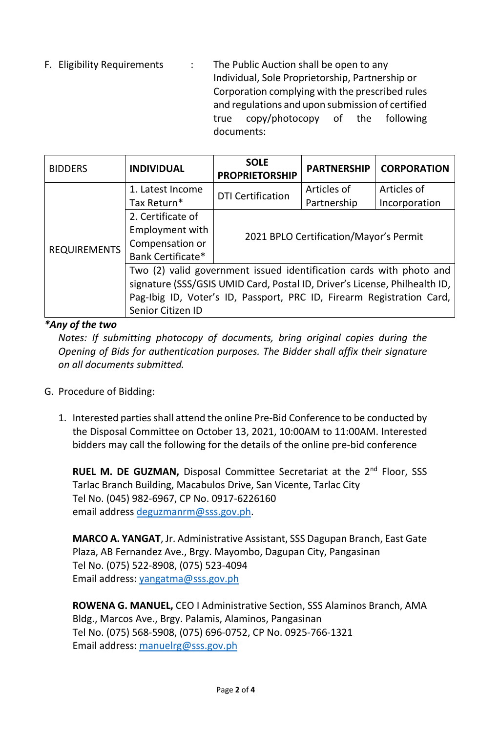F. Eligibility Requirements : The Public Auction shall be open to any Individual, Sole Proprietorship, Partnership or Corporation complying with the prescribed rules and regulations and upon submission of certified true copy/photocopy of the following documents:

| <b>BIDDERS</b>      | <b>INDIVIDUAL</b>                                                          | <b>SOLE</b><br><b>PROPRIETORSHIP</b>   | <b>PARTNERSHIP</b> | <b>CORPORATION</b> |  |  |
|---------------------|----------------------------------------------------------------------------|----------------------------------------|--------------------|--------------------|--|--|
| <b>REQUIREMENTS</b> | 1. Latest Income                                                           | <b>DTI Certification</b>               | Articles of        | Articles of        |  |  |
|                     | Tax Return*                                                                |                                        | Partnership        | Incorporation      |  |  |
|                     | 2. Certificate of                                                          |                                        |                    |                    |  |  |
|                     | <b>Employment with</b>                                                     |                                        |                    |                    |  |  |
|                     | Compensation or                                                            | 2021 BPLO Certification/Mayor's Permit |                    |                    |  |  |
|                     | Bank Certificate*                                                          |                                        |                    |                    |  |  |
|                     | Two (2) valid government issued identification cards with photo and        |                                        |                    |                    |  |  |
|                     | signature (SSS/GSIS UMID Card, Postal ID, Driver's License, Philhealth ID, |                                        |                    |                    |  |  |
|                     | Pag-Ibig ID, Voter's ID, Passport, PRC ID, Firearm Registration Card,      |                                        |                    |                    |  |  |
|                     | Senior Citizen ID                                                          |                                        |                    |                    |  |  |

## *\*Any of the two*

*Notes: If submitting photocopy of documents, bring original copies during the Opening of Bids for authentication purposes. The Bidder shall affix their signature on all documents submitted.*

- G. Procedure of Bidding:
	- 1. Interested parties shall attend the online Pre-Bid Conference to be conducted by the Disposal Committee on October 13, 2021, 10:00AM to 11:00AM. Interested bidders may call the following for the details of the online pre-bid conference

**RUEL M. DE GUZMAN, Disposal Committee Secretariat at the 2<sup>nd</sup> Floor, SSS** Tarlac Branch Building, Macabulos Drive, San Vicente, Tarlac City Tel No. (045) 982-6967, CP No. 0917-6226160 email address [deguzmanrm@sss.gov.ph.](mailto:deguzmanrm@sss.gov.ph)

**MARCO A. YANGAT**, Jr. Administrative Assistant, SSS Dagupan Branch, East Gate Plaza, AB Fernandez Ave., Brgy. Mayombo, Dagupan City, Pangasinan Tel No. (075) 522-8908, (075) 523-4094 Email address: [yangatma@sss.gov.ph](mailto:yangatma@sss.gov.ph)

**ROWENA G. MANUEL,** CEO I Administrative Section, SSS Alaminos Branch, AMA Bldg., Marcos Ave., Brgy. Palamis, Alaminos, Pangasinan Tel No. (075) 568-5908, (075) 696-0752, CP No. 0925-766-1321 Email address: [manuelrg@sss.gov.ph](mailto:manuelrg@sss.gov.ph)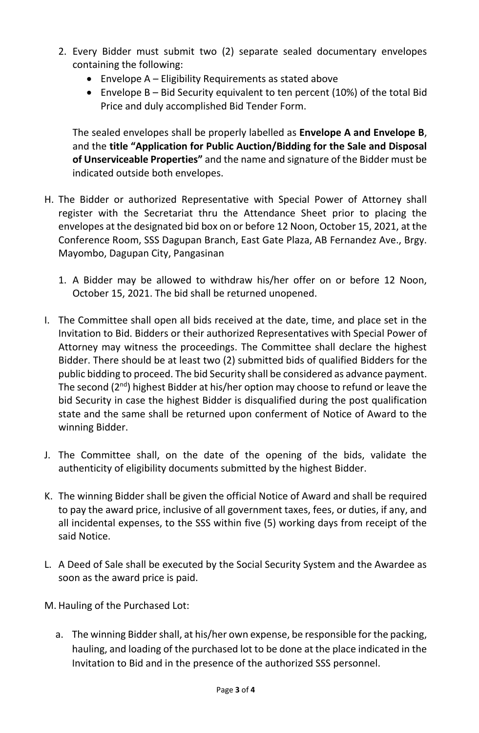- 2. Every Bidder must submit two (2) separate sealed documentary envelopes containing the following:
	- Envelope A Eligibility Requirements as stated above
	- Envelope B Bid Security equivalent to ten percent (10%) of the total Bid Price and duly accomplished Bid Tender Form.

The sealed envelopes shall be properly labelled as **Envelope A and Envelope B**, and the **title "Application for Public Auction/Bidding for the Sale and Disposal of Unserviceable Properties"** and the name and signature of the Bidder must be indicated outside both envelopes.

- H. The Bidder or authorized Representative with Special Power of Attorney shall register with the Secretariat thru the Attendance Sheet prior to placing the envelopes at the designated bid box on or before 12 Noon, October 15, 2021, at the Conference Room, SSS Dagupan Branch, East Gate Plaza, AB Fernandez Ave., Brgy. Mayombo, Dagupan City, Pangasinan
	- 1. A Bidder may be allowed to withdraw his/her offer on or before 12 Noon, October 15, 2021. The bid shall be returned unopened.
- I. The Committee shall open all bids received at the date, time, and place set in the Invitation to Bid. Bidders or their authorized Representatives with Special Power of Attorney may witness the proceedings. The Committee shall declare the highest Bidder. There should be at least two (2) submitted bids of qualified Bidders for the public bidding to proceed. The bid Security shall be considered as advance payment. The second  $(2^{nd})$  highest Bidder at his/her option may choose to refund or leave the bid Security in case the highest Bidder is disqualified during the post qualification state and the same shall be returned upon conferment of Notice of Award to the winning Bidder.
- J. The Committee shall, on the date of the opening of the bids, validate the authenticity of eligibility documents submitted by the highest Bidder.
- K. The winning Bidder shall be given the official Notice of Award and shall be required to pay the award price, inclusive of all government taxes, fees, or duties, if any, and all incidental expenses, to the SSS within five (5) working days from receipt of the said Notice.
- L. A Deed of Sale shall be executed by the Social Security System and the Awardee as soon as the award price is paid.
- M. Hauling of the Purchased Lot:
	- a. The winning Bidder shall, at his/her own expense, be responsible for the packing, hauling, and loading of the purchased lot to be done at the place indicated in the Invitation to Bid and in the presence of the authorized SSS personnel.